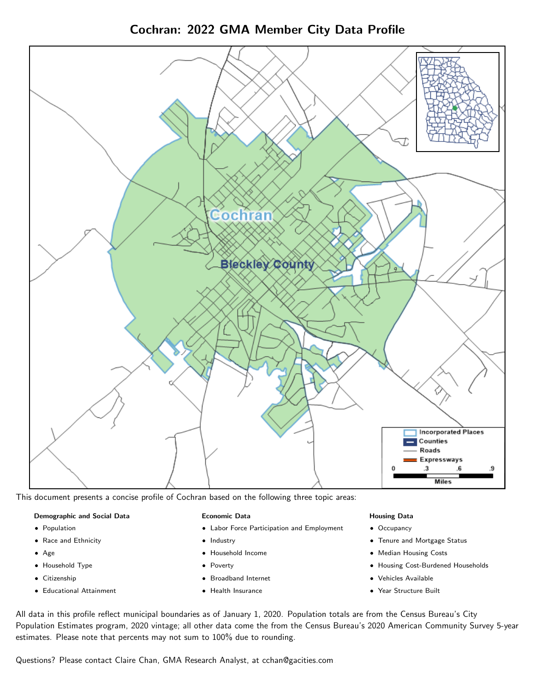Cochran: 2022 GMA Member City Data Profile



This document presents a concise profile of Cochran based on the following three topic areas:

### Demographic and Social Data

- **•** Population
- Race and Ethnicity
- Age
- Household Type
- **Citizenship**
- Educational Attainment

### Economic Data

- Labor Force Participation and Employment
- Industry
- Household Income
- Poverty
- Broadband Internet
- Health Insurance

### Housing Data

- Occupancy
- Tenure and Mortgage Status
- Median Housing Costs
- Housing Cost-Burdened Households
- Vehicles Available
- Year Structure Built

All data in this profile reflect municipal boundaries as of January 1, 2020. Population totals are from the Census Bureau's City Population Estimates program, 2020 vintage; all other data come the from the Census Bureau's 2020 American Community Survey 5-year estimates. Please note that percents may not sum to 100% due to rounding.

Questions? Please contact Claire Chan, GMA Research Analyst, at [cchan@gacities.com.](mailto:cchan@gacities.com)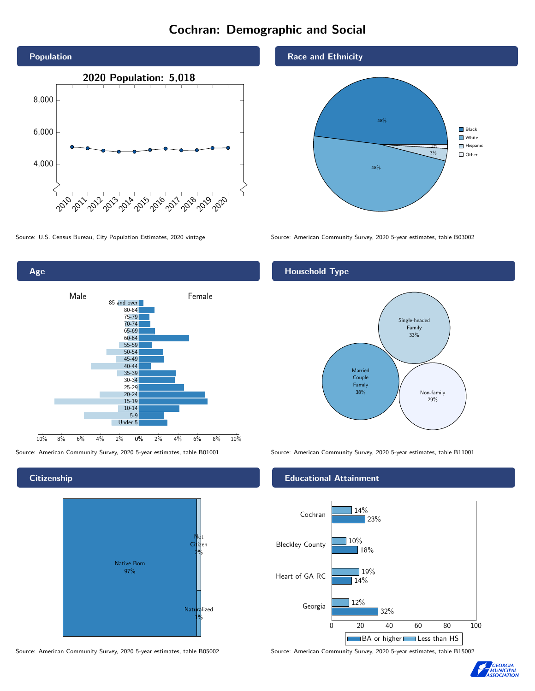# Cochran: Demographic and Social





**Citizenship** 



Source: American Community Survey, 2020 5-year estimates, table B05002 Source: American Community Survey, 2020 5-year estimates, table B15002

## Race and Ethnicity



Source: U.S. Census Bureau, City Population Estimates, 2020 vintage Source: American Community Survey, 2020 5-year estimates, table B03002

## Household Type



Source: American Community Survey, 2020 5-year estimates, table B01001 Source: American Community Survey, 2020 5-year estimates, table B11001

## Educational Attainment



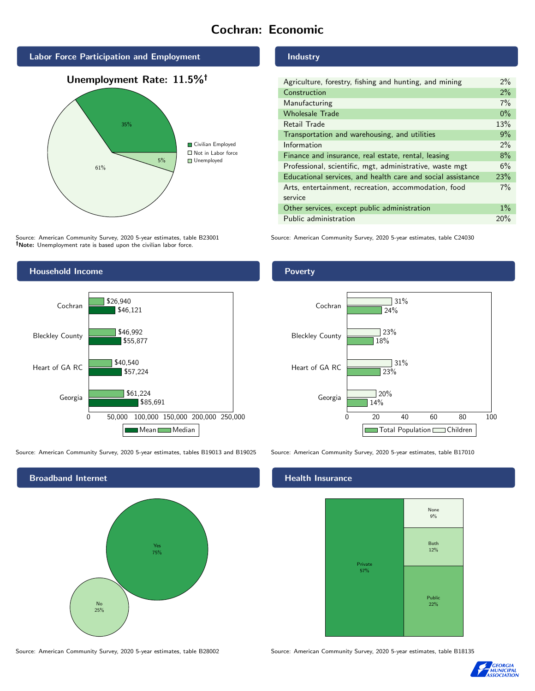# Cochran: Economic





Source: American Community Survey, 2020 5-year estimates, table B23001 Note: Unemployment rate is based upon the civilian labor force.



| Agriculture, forestry, fishing and hunting, and mining      | $2\%$ |
|-------------------------------------------------------------|-------|
| Construction                                                | 2%    |
| Manufacturing                                               | 7%    |
| <b>Wholesale Trade</b>                                      | $0\%$ |
| Retail Trade                                                | 13%   |
| Transportation and warehousing, and utilities               | 9%    |
| Information                                                 | 2%    |
| Finance and insurance, real estate, rental, leasing         | 8%    |
| Professional, scientific, mgt, administrative, waste mgt    | 6%    |
| Educational services, and health care and social assistance | 23%   |
| Arts, entertainment, recreation, accommodation, food        | 7%    |
| service                                                     |       |
| Other services, except public administration                | $1\%$ |
| Public administration                                       | 20%   |

Source: American Community Survey, 2020 5-year estimates, table C24030



Source: American Community Survey, 2020 5-year estimates, tables B19013 and B19025 Source: American Community Survey, 2020 5-year estimates, table B17010



Poverty



## **Health Insurance**



Source: American Community Survey, 2020 5-year estimates, table B28002 Source: American Community Survey, 2020 5-year estimates, table B18135